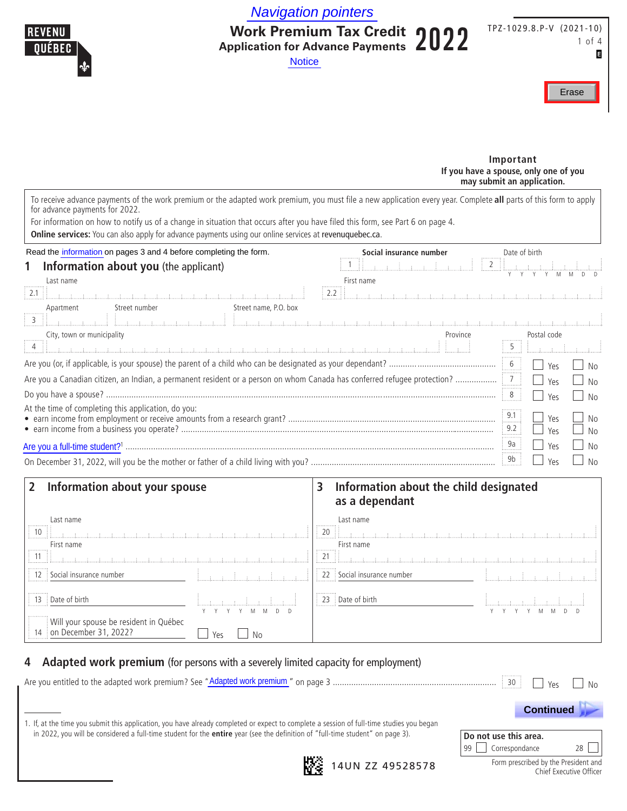Navigation pointers



**Work Premium Tax Credit Application for Advance Payments** 2022 **Notice** 

TPZ-1029.8.P-V (2021-10) 1 of 4 E



**Important If you have a spouse, only one of you may submit an application.**

To receive advance payments of the work premium or the adapted work premium, you must file a new application every year. Complete **all** parts of this form to apply for advance payments for 2022.

For information on how to notify us of a change in situation that occurs after you have filed this form, see Part 6 on page 4.

**Online services:** You can also apply for advance payments using our online services at revenuquebec.ca.

| Read the information on pages 3 and 4 before completing the form.                                                        | Social insurance number | Date of birth                 |                |
|--------------------------------------------------------------------------------------------------------------------------|-------------------------|-------------------------------|----------------|
| Information about you (the applicant)<br>1                                                                               | $\overline{2}$          | $\mathbb{H}$ and $\mathbb{H}$ |                |
| Last name                                                                                                                | First name              |                               |                |
| $\vert$ 2.1 $\vert$                                                                                                      |                         |                               |                |
| Street number<br>Street name, P.O. box<br>Apartment                                                                      |                         |                               |                |
| $\begin{array}{c} \n \overline{3} \\ \overline{3}\n \end{array}$                                                         |                         |                               |                |
| City, town or municipality                                                                                               | Province                | Postal code                   |                |
|                                                                                                                          |                         | 5                             |                |
|                                                                                                                          |                         | $6\frac{1}{2}$<br>Yes         | No             |
| Are you a Canadian citizen, an Indian, a permanent resident or a person on whom Canada has conferred refugee protection? |                         | Yes                           | <b>No</b>      |
|                                                                                                                          |                         | 8<br>Yes                      | N <sub>0</sub> |
| At the time of completing this application, do you:                                                                      |                         | 9.1                           |                |
|                                                                                                                          |                         | Yes<br>.<br>9.2               | <b>No</b>      |
|                                                                                                                          |                         | Yρς                           | No             |
|                                                                                                                          |                         | 9a<br>Yes                     | No             |
|                                                                                                                          |                         | 9b<br>Yρς                     | <b>No</b>      |

#### **2 Information about your spouse 3 Information about the child designated as a dependant** Last name Last name 10 **20 20 21:** The contract of the contract of the contract of the contract of the contract of the contract of the contract of the contract of the contract of the contract of the contract of the contract of the contract of First name First name 11 21

| .<br>1 12 Social insurance number                                         |           | <br>22 Social insurance number                       |  |
|---------------------------------------------------------------------------|-----------|------------------------------------------------------|--|
| $\parallel$ 13 Date of birth                                              |           | <br>$\frac{1}{2}$ 23 $\frac{1}{2}$ Date of birth<br> |  |
| .<br>Will your spouse be resident in Québec<br>  14 on December 31, 2022? | Yes<br>No |                                                      |  |

## **4 Adapted work premium** (for persons with a severely limited capacity for employment) Are you entitled to the adapted work premium? See "Adapted work premium" on page 3 ....................................................................... <sup>30</sup> Yes No Adapted work premium**Do not use this area.** 99 Correspondance 28 1. If, at the time you submit this application, you have already completed or expect to complete a session of full-time studies you began in 2022, you will be considered a full-time student for the **entire** year (see the definition of "full-time student" on page 3).  **Continued .**



**14UN ZZ 49528578** 

Form prescribed by the President and Chief Executive Officer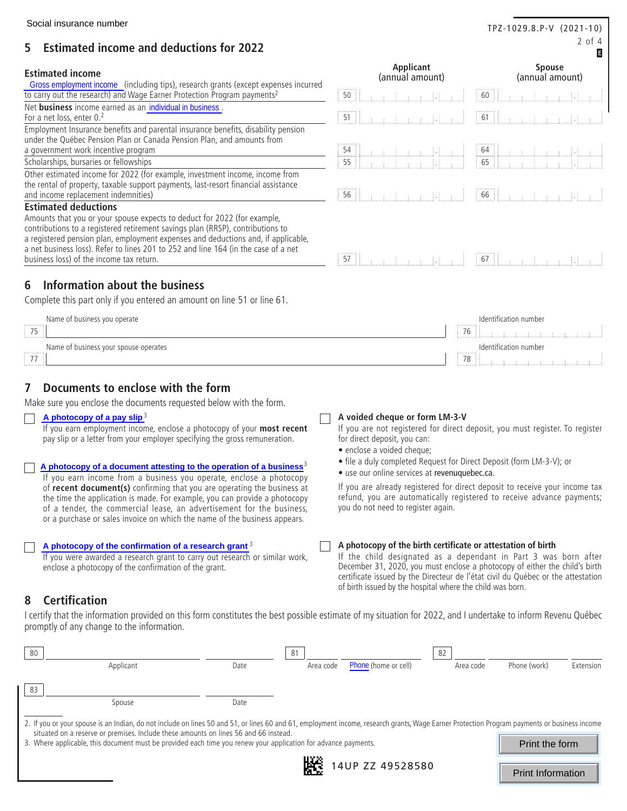# 2 of 4 **5 Estimated income and deductions for 2022**

#### **Estimated income**

|                                       |  | Net <b>business</b> income earned as an <i>individual in business</i> |
|---------------------------------------|--|-----------------------------------------------------------------------|
| For a net loss, enter 0. <sup>2</sup> |  |                                                                       |

#### **Estimated deductions**

# **6 Information about the business**

| Gross employment income (including tips), research grants (except expenses incurred                                            |                                                                                                                                                                                                                                                                                                                                                                                                                                                                                                |
|--------------------------------------------------------------------------------------------------------------------------------|------------------------------------------------------------------------------------------------------------------------------------------------------------------------------------------------------------------------------------------------------------------------------------------------------------------------------------------------------------------------------------------------------------------------------------------------------------------------------------------------|
| to carry out the research) and Wage Earner Protection Program payments <sup>2</sup>                                            |                                                                                                                                                                                                                                                                                                                                                                                                                                                                                                |
| Net business income earned as an individual in business.                                                                       |                                                                                                                                                                                                                                                                                                                                                                                                                                                                                                |
| For a net loss, enter 0.2                                                                                                      |                                                                                                                                                                                                                                                                                                                                                                                                                                                                                                |
| Employment Insurance benefits and parental insurance benefits, disability pension                                              |                                                                                                                                                                                                                                                                                                                                                                                                                                                                                                |
| under the Québec Pension Plan or Canada Pension Plan, and amounts from                                                         |                                                                                                                                                                                                                                                                                                                                                                                                                                                                                                |
| a government work incentive program                                                                                            |                                                                                                                                                                                                                                                                                                                                                                                                                                                                                                |
| Scholarships, bursaries or fellowships                                                                                         |                                                                                                                                                                                                                                                                                                                                                                                                                                                                                                |
| Other estimated income for 2022 (for example, investment income, income from                                                   |                                                                                                                                                                                                                                                                                                                                                                                                                                                                                                |
| the rental of property, taxable support payments, last-resort financial assistance                                             |                                                                                                                                                                                                                                                                                                                                                                                                                                                                                                |
| and income replacement indemnities)                                                                                            | 56   Region Liberty   66   Region   Region   1990                                                                                                                                                                                                                                                                                                                                                                                                                                              |
| <b>Estimated deductions</b>                                                                                                    |                                                                                                                                                                                                                                                                                                                                                                                                                                                                                                |
| Amounts that you or your spouse expects to deduct for 2022 (for example,                                                       |                                                                                                                                                                                                                                                                                                                                                                                                                                                                                                |
| contributions to a registered retirement savings plan (RRSP), contributions to                                                 |                                                                                                                                                                                                                                                                                                                                                                                                                                                                                                |
| a registered pension plan, employment expenses and deductions and, if applicable,                                              |                                                                                                                                                                                                                                                                                                                                                                                                                                                                                                |
| a net business loss). Refer to lines 201 to 252 and line 164 (in the case of a net<br>business loss) of the income tax return. |                                                                                                                                                                                                                                                                                                                                                                                                                                                                                                |
|                                                                                                                                |                                                                                                                                                                                                                                                                                                                                                                                                                                                                                                |
| Information about the business<br>6                                                                                            |                                                                                                                                                                                                                                                                                                                                                                                                                                                                                                |
| Complete this part only if you entered an amount on line 51 or line 61.                                                        |                                                                                                                                                                                                                                                                                                                                                                                                                                                                                                |
|                                                                                                                                |                                                                                                                                                                                                                                                                                                                                                                                                                                                                                                |
|                                                                                                                                |                                                                                                                                                                                                                                                                                                                                                                                                                                                                                                |
| Name of business you operate                                                                                                   | Identification number                                                                                                                                                                                                                                                                                                                                                                                                                                                                          |
| $\frac{1}{25}$                                                                                                                 | 76                                                                                                                                                                                                                                                                                                                                                                                                                                                                                             |
|                                                                                                                                | $\begin{array}{lllllllllll} \textbf{min} & \textbf{min} & \textbf{min} & \textbf{min} & \textbf{min} & \textbf{min} \\ \textbf{min} & \textbf{min} & \textbf{min} & \textbf{min} & \textbf{min} & \textbf{min} & \textbf{min} \\ \textbf{min} & \textbf{min} & \textbf{min} & \textbf{min} & \textbf{min} & \textbf{min} & \textbf{min} & \textbf{min} \\ \textbf{min} & \textbf{min} & \textbf{min} & \textbf{min} & \textbf{min} & \textbf{min} & \textbf{min} & \textbf{min} & \textbf{min$ |
| Name of business your spouse operates                                                                                          | Identification number                                                                                                                                                                                                                                                                                                                                                                                                                                                                          |
| $\frac{1}{77}$                                                                                                                 |                                                                                                                                                                                                                                                                                                                                                                                                                                                                                                |
|                                                                                                                                |                                                                                                                                                                                                                                                                                                                                                                                                                                                                                                |
| Documents to enclose with the form<br>$\mathbf{7}$                                                                             |                                                                                                                                                                                                                                                                                                                                                                                                                                                                                                |
| Make sure you enclose the documents requested below with the form.                                                             |                                                                                                                                                                                                                                                                                                                                                                                                                                                                                                |

# **7 Documents to enclose with the form**

#### **A photocopy of a pay slip**<sup>3</sup>

#### **A photocopy of a document attesting to the operation of a business**<sup>3</sup> **A photocopy of a document attesting to the operation of a business**

#### **A photocopy of the confirmation of a research grant**  $3$

# **8 Certification**

| Social insurance number                                                                                                                                                                                                                                                                                     |                                                                                                                                                                                                                                                                                                 | TPZ-1029.8.P-V (2021-10)                                                                                                                                                                                                                                                                                                           |
|-------------------------------------------------------------------------------------------------------------------------------------------------------------------------------------------------------------------------------------------------------------------------------------------------------------|-------------------------------------------------------------------------------------------------------------------------------------------------------------------------------------------------------------------------------------------------------------------------------------------------|------------------------------------------------------------------------------------------------------------------------------------------------------------------------------------------------------------------------------------------------------------------------------------------------------------------------------------|
| <b>Estimated income and deductions for 2022</b><br>5                                                                                                                                                                                                                                                        |                                                                                                                                                                                                                                                                                                 | $2$ of $4$<br>Е                                                                                                                                                                                                                                                                                                                    |
| <b>Estimated income</b>                                                                                                                                                                                                                                                                                     | Applicant                                                                                                                                                                                                                                                                                       | <b>Spouse</b>                                                                                                                                                                                                                                                                                                                      |
| Gross employment income (including tips), research grants (except expenses incurred                                                                                                                                                                                                                         | (annual amount)                                                                                                                                                                                                                                                                                 | (annual amount)                                                                                                                                                                                                                                                                                                                    |
| to carry out the research) and Wage Earner Protection Program payments <sup>2</sup><br>Net business income earned as an individual in business.                                                                                                                                                             | 50<br>-Đ                                                                                                                                                                                                                                                                                        |                                                                                                                                                                                                                                                                                                                                    |
| For a net loss, enter 0.2                                                                                                                                                                                                                                                                                   | 51<br>一日                                                                                                                                                                                                                                                                                        | $\begin{bmatrix} 61 & 0 & 0 \\ 0 & 0 & 0 \\ 0 & 0 & 0 \\ 0 & 0 & 0 \\ 0 & 0 & 0 \\ 0 & 0 & 0 \\ 0 & 0 & 0 \\ 0 & 0 & 0 \\ 0 & 0 & 0 \\ 0 & 0 & 0 \\ 0 & 0 & 0 \\ 0 & 0 & 0 \\ 0 & 0 & 0 \\ 0 & 0 & 0 \\ 0 & 0 & 0 & 0 \\ 0 & 0 & 0 & 0 \\ 0 & 0 & 0 & 0 \\ 0 & 0 & 0 & 0 & 0 \\ 0 & 0 & 0 & 0 & 0 \\ 0 & 0 & 0 & 0 & 0 \\ 0 & 0 &$ |
| Employment Insurance benefits and parental insurance benefits, disability pension<br>under the Québec Pension Plan or Canada Pension Plan, and amounts from                                                                                                                                                 |                                                                                                                                                                                                                                                                                                 |                                                                                                                                                                                                                                                                                                                                    |
| a government work incentive program<br>Scholarships, bursaries or fellowships                                                                                                                                                                                                                               | 54<br>55                                                                                                                                                                                                                                                                                        |                                                                                                                                                                                                                                                                                                                                    |
| Other estimated income for 2022 (for example, investment income, income from                                                                                                                                                                                                                                |                                                                                                                                                                                                                                                                                                 |                                                                                                                                                                                                                                                                                                                                    |
| the rental of property, taxable support payments, last-resort financial assistance<br>and income replacement indemnities)                                                                                                                                                                                   | 56<br>a a franca Hoard                                                                                                                                                                                                                                                                          |                                                                                                                                                                                                                                                                                                                                    |
| <b>Estimated deductions</b>                                                                                                                                                                                                                                                                                 |                                                                                                                                                                                                                                                                                                 |                                                                                                                                                                                                                                                                                                                                    |
| Amounts that you or your spouse expects to deduct for 2022 (for example,<br>contributions to a registered retirement savings plan (RRSP), contributions to                                                                                                                                                  |                                                                                                                                                                                                                                                                                                 |                                                                                                                                                                                                                                                                                                                                    |
| a registered pension plan, employment expenses and deductions and, if applicable,                                                                                                                                                                                                                           |                                                                                                                                                                                                                                                                                                 |                                                                                                                                                                                                                                                                                                                                    |
| a net business loss). Refer to lines 201 to 252 and line 164 (in the case of a net<br>business loss) of the income tax return.                                                                                                                                                                              | $57$ $\frac{1}{2}$ $\frac{1}{2}$ $\frac{1}{2}$ $\frac{1}{2}$ $\frac{1}{2}$ $\frac{1}{2}$ $\frac{1}{2}$ $\frac{1}{2}$ $\frac{1}{2}$ $\frac{1}{2}$                                                                                                                                                |                                                                                                                                                                                                                                                                                                                                    |
|                                                                                                                                                                                                                                                                                                             |                                                                                                                                                                                                                                                                                                 |                                                                                                                                                                                                                                                                                                                                    |
| Information about the business<br>6                                                                                                                                                                                                                                                                         |                                                                                                                                                                                                                                                                                                 |                                                                                                                                                                                                                                                                                                                                    |
| Complete this part only if you entered an amount on line 51 or line 61.                                                                                                                                                                                                                                     |                                                                                                                                                                                                                                                                                                 |                                                                                                                                                                                                                                                                                                                                    |
| Name of business you operate<br>$\frac{1}{2}$ 75                                                                                                                                                                                                                                                            | 76                                                                                                                                                                                                                                                                                              | Identification number                                                                                                                                                                                                                                                                                                              |
| Name of business your spouse operates                                                                                                                                                                                                                                                                       |                                                                                                                                                                                                                                                                                                 | Identification number                                                                                                                                                                                                                                                                                                              |
| 77                                                                                                                                                                                                                                                                                                          | 78                                                                                                                                                                                                                                                                                              | $\label{eq:optimal} \mathcal{A} = \{1, \ldots, L, \ldots, L, \ldots, L, \ldots, L, \ldots, L\}$                                                                                                                                                                                                                                    |
| Documents to enclose with the form<br>7<br>Make sure you enclose the documents requested below with the form.                                                                                                                                                                                               |                                                                                                                                                                                                                                                                                                 |                                                                                                                                                                                                                                                                                                                                    |
| A photocopy of a pay slip $3$<br>If you earn employment income, enclose a photocopy of your most recent                                                                                                                                                                                                     | A voided cheque or form LM-3-V<br>If you are not registered for direct deposit, you must register. To register                                                                                                                                                                                  |                                                                                                                                                                                                                                                                                                                                    |
| pay slip or a letter from your employer specifying the gross remuneration.                                                                                                                                                                                                                                  | for direct deposit, you can:                                                                                                                                                                                                                                                                    |                                                                                                                                                                                                                                                                                                                                    |
|                                                                                                                                                                                                                                                                                                             | · enclose a voided cheque;<br>• file a duly completed Request for Direct Deposit (form LM-3-V); or                                                                                                                                                                                              |                                                                                                                                                                                                                                                                                                                                    |
| A photocopy of a document attesting to the operation of a business <sup>3</sup><br>If you earn income from a business you operate, enclose a photocopy                                                                                                                                                      | • use our online services at revenuquebec.ca.                                                                                                                                                                                                                                                   |                                                                                                                                                                                                                                                                                                                                    |
| of recent document(s) confirming that you are operating the business at<br>the time the application is made. For example, you can provide a photocopy<br>of a tender, the commercial lease, an advertisement for the business,<br>or a purchase or sales invoice on which the name of the business appears. | If you are already registered for direct deposit to receive your income tax<br>refund, you are automatically registered to receive advance payments;<br>you do not need to register again.                                                                                                      |                                                                                                                                                                                                                                                                                                                                    |
| A photocopy of the confirmation of a research grant <sup>3</sup>                                                                                                                                                                                                                                            | A photocopy of the birth certificate or attestation of birth                                                                                                                                                                                                                                    |                                                                                                                                                                                                                                                                                                                                    |
| If you were awarded a research grant to carry out research or similar work,<br>enclose a photocopy of the confirmation of the grant.                                                                                                                                                                        | If the child designated as a dependant in Part 3 was born after<br>December 31, 2020, you must enclose a photocopy of either the child's birth<br>certificate issued by the Directeur de l'état civil du Québec or the attestation<br>of birth issued by the hospital where the child was born. |                                                                                                                                                                                                                                                                                                                                    |
| <b>Certification</b><br>8                                                                                                                                                                                                                                                                                   |                                                                                                                                                                                                                                                                                                 |                                                                                                                                                                                                                                                                                                                                    |
| I certify that the information provided on this form constitutes the best possible estimate of my situation for 2022, and I undertake to inform Revenu Québec<br>promptly of any change to the information.                                                                                                 |                                                                                                                                                                                                                                                                                                 |                                                                                                                                                                                                                                                                                                                                    |
| 81<br>80                                                                                                                                                                                                                                                                                                    | 82                                                                                                                                                                                                                                                                                              |                                                                                                                                                                                                                                                                                                                                    |
| Area code<br>Applicant<br>Date                                                                                                                                                                                                                                                                              | Phone (home or cell)<br>Area code                                                                                                                                                                                                                                                               | Phone (work)<br>Extension                                                                                                                                                                                                                                                                                                          |
| 83                                                                                                                                                                                                                                                                                                          |                                                                                                                                                                                                                                                                                                 |                                                                                                                                                                                                                                                                                                                                    |
| Spouse<br>Date                                                                                                                                                                                                                                                                                              |                                                                                                                                                                                                                                                                                                 |                                                                                                                                                                                                                                                                                                                                    |
| 2. If you or your spouse is an Indian, do not include on lines 50 and 51, or lines 60 and 61, employment income, research grants, Wage Earner Protection Program payments or business income                                                                                                                |                                                                                                                                                                                                                                                                                                 |                                                                                                                                                                                                                                                                                                                                    |
| situated on a reserve or premises. Include these amounts on lines 56 and 66 instead.<br>3. Where applicable, this document must be provided each time you renew your application for advance payments.                                                                                                      |                                                                                                                                                                                                                                                                                                 | Print the form                                                                                                                                                                                                                                                                                                                     |
|                                                                                                                                                                                                                                                                                                             |                                                                                                                                                                                                                                                                                                 |                                                                                                                                                                                                                                                                                                                                    |
|                                                                                                                                                                                                                                                                                                             | 14UP ZZ 49528580                                                                                                                                                                                                                                                                                | <b>Print Information</b>                                                                                                                                                                                                                                                                                                           |

- file a duly completed Request for Direct Deposit (form LM-3-V); or
- use our online services at revenuquebec.ca.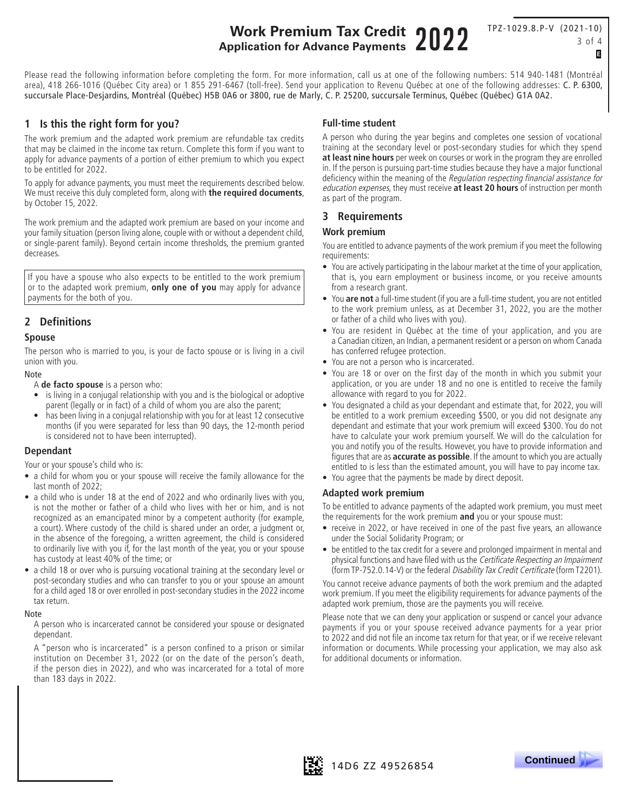# **Work Premium Tax Credit Application for Advance Payments** 2022

TPZ-1029.8.P-V (2021-10) 3 of 4 E

Please read the following information before completing the form. For more information, call us at one of the following numbers: 514 940-1481 (Montréal area), 418 266-1016 (Québec City area) or 1 855 291-6467 (toll-free). Send your application to Revenu Québec at one of the following addresses: C. P. 6300, succursale Place-Desjardins, Montréal (Québec) H5B 0A6 or 3800, rue de Marly, C. P. 25200, succursale Terminus, Québec (Québec) G1A 0A2.

#### **1 Is this the right form for you?**

The work premium and the adapted work premium are refundable tax credits that may be claimed in the income tax return. Complete this form if you want to apply for advance payments of a portion of either premium to which you expect to be entitled for 2022.

To apply for advance payments, you must meet the requirements described below. We must receive this duly completed form, along with **the required documents**, by October 15, 2022.

The work premium and the adapted work premium are based on your income and your family situation (person living alone, couple with or without a dependent child, or single-parent family). Beyond certain income thresholds, the premium granted decreases.

If you have a spouse who also expects to be entitled to the work premium or to the adapted work premium, **only one of you** may apply for advance payments for the both of you.

### **2 Definitions**

#### **Spouse**

The person who is married to you, is your de facto spouse or is living in a civil union with you.

#### Note

A **de facto spouse** is a person who:

- is living in a conjugal relationship with you and is the biological or adoptive parent (legally or in fact) of a child of whom you are also the parent;
- has been living in a conjugal relationship with you for at least 12 consecutive months (if you were separated for less than 90 days, the 12-month period is considered not to have been interrupted).

#### **Dependant**

Your or your spouse's child who is:

- a child for whom you or your spouse will receive the family allowance for the last month of 2022;
- a child who is under 18 at the end of 2022 and who ordinarily lives with you, is not the mother or father of a child who lives with her or him, and is not recognized as an emancipated minor by a competent authority (for example, a court). Where custody of the child is shared under an order, a judgment or, in the absence of the foregoing, a written agreement, the child is considered to ordinarily live with you if, for the last month of the year, you or your spouse has custody at least 40% of the time; or
- a child 18 or over who is pursuing vocational training at the secondary level or post-secondary studies and who can transfer to you or your spouse an amount for a child aged 18 or over enrolled in post-secondary studies in the 2022 income tax return.

#### Note

A person who is incarcerated cannot be considered your spouse or designated dependant.

A "person who is incarcerated" is a person confined to a prison or similar institution on December 31, 2022 (or on the date of the person's death, if the person dies in 2022), and who was incarcerated for a total of more than 183 days in 2022.

#### **Full-time student**

A person who during the year begins and completes one session of vocational training at the secondary level or post-secondary studies for which they spend **at least nine hours** per week on courses or work in the program they are enrolled in. If the person is pursuing part-time studies because they have a major functional deficiency within the meaning of the Regulation respecting financial assistance for education expenses, they must receive **at least 20 hours** of instruction per month as part of the program.

#### **3 Requirements**

#### **Work premium**

You are entitled to advance payments of the work premium if you meet the following requirements:

- You are actively participating in the labour market at the time of your application, that is, you earn employment or business income, or you receive amounts from a research grant.
- You **are not** a full-time student (if you are a full-time student, you are not entitled to the work premium unless, as at December 31, 2022, you are the mother or father of a child who lives with you).
- You are resident in Québec at the time of your application, and you are a Canadian citizen, an Indian, a permanent resident or a person on whom Canada has conferred refugee protection.
- You are not a person who is incarcerated.
- You are 18 or over on the first day of the month in which you submit your application, or you are under 18 and no one is entitled to receive the family allowance with regard to you for 2022.
- You designated a child as your dependant and estimate that, for 2022, you will be entitled to a work premium exceeding \$500, or you did not designate any dependant and estimate that your work premium will exceed \$300. You do not have to calculate your work premium yourself. We will do the calculation for you and notify you of the results. However, you have to provide information and figures that are as **accurate as possible**. If the amount to which you are actually entitled to is less than the estimated amount, you will have to pay income tax.
- You agree that the payments be made by direct deposit.

#### **Adapted work premium**

To be entitled to advance payments of the adapted work premium, you must meet the requirements for the work premium **and** you or your spouse must:

- receive in 2022, or have received in one of the past five years, an allowance under the Social Solidarity Program; or
- be entitled to the tax credit for a severe and prolonged impairment in mental and physical functions and have filed with us the Certificate Respecting an Impairment (form TP-752.0.14-V) or the federal Disability Tax Credit Certificate (form T2201).

You cannot receive advance payments of both the work premium and the adapted work premium. If you meet the eligibility requirements for advance payments of the adapted work premium, those are the payments you will receive.

Please note that we can deny your application or suspend or cancel your advance payments if you or your spouse received advance payments for a year prior to 2022 and did not file an income tax return for that year, or if we receive relevant information or documents. While processing your application, we may also ask for additional documents or information.